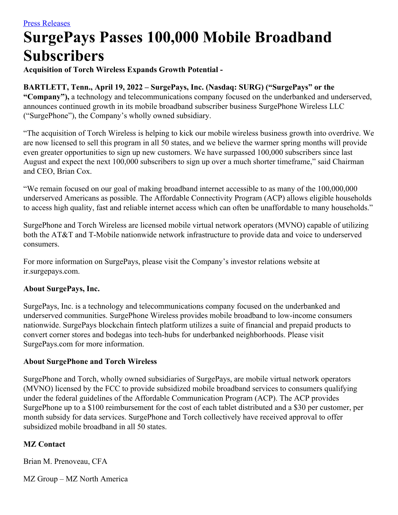# **SurgePays Passes 100,000 Mobile Broadband Subscribers**

**Acquisition of Torch Wireless Expands Growth Potential -**

## **BARTLETT, Tenn., April 19, 2022 – SurgePays, Inc. (Nasdaq: SURG) ("SurgePays" or the**

**"Company"),** a technology and telecommunications company focused on the underbanked and underserved, announces continued growth in its mobile broadband subscriber business SurgePhone Wireless LLC ("SurgePhone"), the Company's wholly owned subsidiary.

"The acquisition of Torch Wireless is helping to kick our mobile wireless business growth into overdrive. We are now licensed to sell this program in all 50 states, and we believe the warmer spring months will provide even greater opportunities to sign up new customers. We have surpassed 100,000 subscribers since last August and expect the next 100,000 subscribers to sign up over a much shorter timeframe," said Chairman and CEO, Brian Cox.

"We remain focused on our goal of making broadband internet accessible to as many of the 100,000,000 underserved Americans as possible. The Affordable Connectivity Program (ACP) allows eligible households to access high quality, fast and reliable internet access which can often be unaffordable to many households."

SurgePhone and Torch Wireless are licensed mobile virtual network operators (MVNO) capable of utilizing both the AT&T and T-Mobile nationwide network infrastructure to provide data and voice to underserved consumers.

For more information on SurgePays, please visit the Company's investor relations website at ir.surgepays.com.

## **About SurgePays, Inc.**

SurgePays, Inc. is a technology and telecommunications company focused on the underbanked and underserved communities. SurgePhone Wireless provides mobile broadband to low-income consumers nationwide. SurgePays blockchain fintech platform utilizes a suite of financial and prepaid products to convert corner stores and bodegas into tech-hubs for underbanked neighborhoods. Please visit SurgePays.com for more information.

## **About SurgePhone and Torch Wireless**

SurgePhone and Torch, wholly owned subsidiaries of SurgePays, are mobile virtual network operators (MVNO) licensed by the FCC to provide subsidized mobile broadband services to consumers qualifying under the federal guidelines of the Affordable Communication Program (ACP). The ACP provides SurgePhone up to a \$100 reimbursement for the cost of each tablet distributed and a \$30 per customer, per month subsidy for data services. SurgePhone and Torch collectively have received approval to offer subsidized mobile broadband in all 50 states.

## **MZ Contact**

Brian M. Prenoveau, CFA

MZ Group – MZ North America